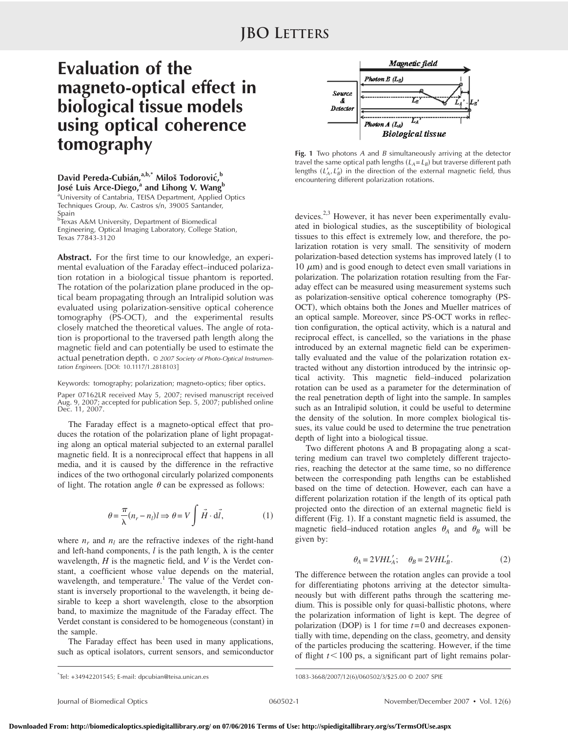## **Evaluation of the magneto-optical effect in biological tissue models using optical coherence tomography**

David Pereda-Cubián,<sup>a,b,\*</sup> Miloš Todorović,<sup>b</sup> **José Luis Arce-Diego,<sup>a</sup> and Lihong V. Wang<sup>b</sup>** aUniversity of Cantabria, TEISA Department, Applied Optics Techniques Group, Av. Castros s/n, 39005 Santander,

Spain<br><sup>b</sup>Texa Texas A&M University, Department of Biomedical Engineering, Optical Imaging Laboratory, College Station, Texas 77843-3120

**Abstract.** For the first time to our knowledge, an experimental evaluation of the Faraday effect–induced polarization rotation in a biological tissue phantom is reported. The rotation of the polarization plane produced in the optical beam propagating through an Intralipid solution was evaluated using polarization-sensitive optical coherence tomography (PS-OCT), and the experimental results closely matched the theoretical values. The angle of rotation is proportional to the traversed path length along the magnetic field and can potentially be used to estimate the actual penetration depth. © *2007 Society of Photo-Optical Instrumentation Engineers.* [DOI: 10.1117/1.2818103]

Keywords: tomography; polarization; magneto-optics; fiber optics.

Paper 07162LR received May 5, 2007; revised manuscript received Aug. 9, 2007; accepted for publication Sep. 5, 2007; published online Dec. 11, 2007.

The Faraday effect is a magneto-optical effect that produces the rotation of the polarization plane of light propagating along an optical material subjected to an external parallel magnetic field. It is a nonreciprocal effect that happens in all media, and it is caused by the difference in the refractive indices of the two orthogonal circularly polarized components of light. The rotation angle  $\theta$  can be expressed as follows:

$$
\theta = \frac{\pi}{\lambda} (n_r - n_l) l \Rightarrow \theta = V \int \vec{H} \cdot d\vec{l}, \qquad (1)
$$

where  $n_r$  and  $n_l$  are the refractive indexes of the right-hand and left-hand components,  $l$  is the path length,  $\lambda$  is the center wavelength, *H* is the magnetic field, and *V* is the Verdet constant, a coefficient whose value depends on the material, wavelength, and temperature.<sup>1</sup> The value of the Verdet constant is inversely proportional to the wavelength, it being desirable to keep a short wavelength, close to the absorption band, to maximize the magnitude of the Faraday effect. The Verdet constant is considered to be homogeneous (constant) in the sample.

The Faraday effect has been used in many applications, such as optical isolators, current sensors, and semiconductor



**Fig. 1** Two photons *A* and *B* simultaneously arriving at the detector travel the same optical path lengths  $(L_A = L_B)$  but traverse different path lengths  $(L'_A, L'_B)$  in the direction of the external magnetic field, thus encountering different polarization rotations.

devices.<sup>2,3</sup> However, it has never been experimentally evaluated in biological studies, as the susceptibility of biological tissues to this effect is extremely low, and therefore, the polarization rotation is very small. The sensitivity of modern polarization-based detection systems has improved lately 1 to 10  $\mu$ m) and is good enough to detect even small variations in polarization. The polarization rotation resulting from the Faraday effect can be measured using measurement systems such as polarization-sensitive optical coherence tomography (PS-OCT), which obtains both the Jones and Mueller matrices of an optical sample. Moreover, since PS-OCT works in reflection configuration, the optical activity, which is a natural and reciprocal effect, is cancelled, so the variations in the phase introduced by an external magnetic field can be experimentally evaluated and the value of the polarization rotation extracted without any distortion introduced by the intrinsic optical activity. This magnetic field–induced polarization rotation can be used as a parameter for the determination of the real penetration depth of light into the sample. In samples such as an Intralipid solution, it could be useful to determine the density of the solution. In more complex biological tissues, its value could be used to determine the true penetration depth of light into a biological tissue.

Two different photons A and B propagating along a scattering medium can travel two completely different trajectories, reaching the detector at the same time, so no difference between the corresponding path lengths can be established based on the time of detection. However, each can have a different polarization rotation if the length of its optical path projected onto the direction of an external magnetic field is different (Fig. 1). If a constant magnetic field is assumed, the magnetic field–induced rotation angles  $\theta_A$  and  $\theta_B$  will be given by:

$$
\theta_A = 2VHL'_A; \quad \theta_B = 2VHL'_B. \tag{2}
$$

The difference between the rotation angles can provide a tool for differentiating photons arriving at the detector simultaneously but with different paths through the scattering medium. This is possible only for quasi-ballistic photons, where the polarization information of light is kept. The degree of polarization (DOP) is 1 for time  $t=0$  and decreases exponentially with time, depending on the class, geometry, and density of the particles producing the scattering. However, if the time of flight  $t < 100$  ps, a significant part of light remains polar-

1083-3668/2007/12(6)/060502/3/\$25.00 © 2007 SPIE

<sup>/060502/3/\$25.00 © 2007</sup> SPIE \* Tel: +34942201545; E-mail: dpcubian@teisa.unican.es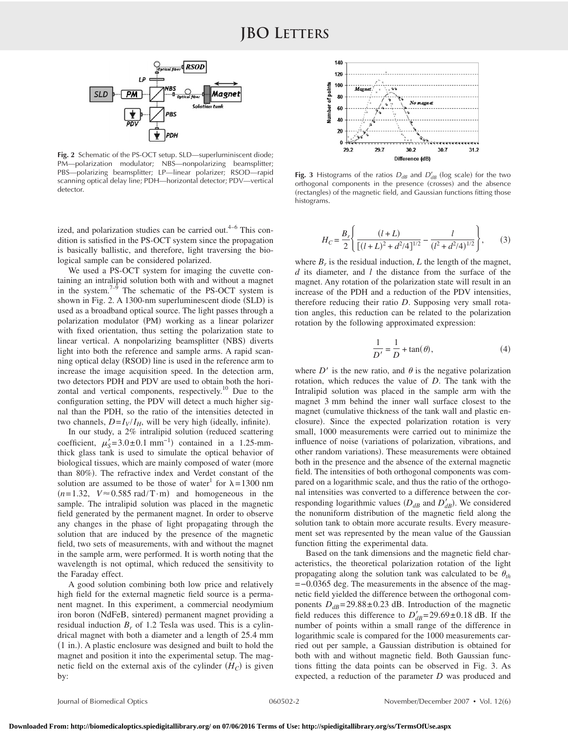

**Fig. 2** Schematic of the PS-OCT setup. SLD—superluminiscent diode; PM—polarization modulator; NBS—nonpolarizing beamsplitter; PBS—polarizing beamsplitter; LP—linear polarizer; RSOD—rapid scanning optical delay line; PDH—horizontal detector; PDV—vertical detector.

ized, and polarization studies can be carried out. $4-6$  This condition is satisfied in the PS-OCT system since the propagation is basically ballistic, and therefore, light traversing the biological sample can be considered polarized.

We used a PS-OCT system for imaging the cuvette containing an intralipid solution both with and without a magnet in the system. $7-9$  The schematic of the PS-OCT system is shown in Fig. 2. A 1300-nm superluminescent diode (SLD) is used as a broadband optical source. The light passes through a polarization modulator (PM) working as a linear polarizer with fixed orientation, thus setting the polarization state to linear vertical. A nonpolarizing beamsplitter (NBS) diverts light into both the reference and sample arms. A rapid scanning optical delay (RSOD) line is used in the reference arm to increase the image acquisition speed. In the detection arm, two detectors PDH and PDV are used to obtain both the horizontal and vertical components, respectively.<sup>10</sup> Due to the configuration setting, the PDV will detect a much higher signal than the PDH, so the ratio of the intensities detected in two channels,  $D = I_V/I_H$ , will be very high (ideally, infinite).

In our study, a 2% intralipid solution (reduced scattering coefficient,  $\mu'_{\rm s} = 3.0 \pm 0.1$  mm<sup>-1</sup>) contained in a 1.25-mmthick glass tank is used to simulate the optical behavior of biological tissues, which are mainly composed of water (more than 80%). The refractive index and Verdet constant of the solution are assumed to be those of water<sup>1</sup> for  $\lambda = 1300$  nm  $(n=1.32, V \approx 0.585 \text{ rad/T} \cdot \text{m})$  and homogeneous in the sample. The intralipid solution was placed in the magnetic field generated by the permanent magnet. In order to observe any changes in the phase of light propagating through the solution that are induced by the presence of the magnetic field, two sets of measurements, with and without the magnet in the sample arm, were performed. It is worth noting that the wavelength is not optimal, which reduced the sensitivity to the Faraday effect.

A good solution combining both low price and relatively high field for the external magnetic field source is a permanent magnet. In this experiment, a commercial neodymium iron boron (NdFeB, sintered) permanent magnet providing a residual induction  $B_r$  of 1.2 Tesla was used. This is a cylindrical magnet with both a diameter and a length of 25.4 mm (1 in.). A plastic enclosure was designed and built to hold the magnet and position it into the experimental setup. The magnetic field on the external axis of the cylinder  $(H_C)$  is given by:



**Fig. 3** Histograms of the ratios  $D_{dB}$  and  $D'_{dB}$  (log scale) for the two orthogonal components in the presence (crosses) and the absence (rectangles) of the magnetic field, and Gaussian functions fitting those histograms.

$$
H_C = \frac{B_r}{2} \left\{ \frac{(l+L)}{[(l+L)^2 + d^2/4]^{1/2}} - \frac{l}{(l^2 + d^2/4)^{1/2}} \right\},\qquad(3)
$$

where  $B<sub>r</sub>$  is the residual induction,  $L$  the length of the magnet, *d* its diameter, and *l* the distance from the surface of the magnet. Any rotation of the polarization state will result in an increase of the PDH and a reduction of the PDV intensities, therefore reducing their ratio *D*. Supposing very small rotation angles, this reduction can be related to the polarization rotation by the following approximated expression:

$$
\frac{1}{D'} = \frac{1}{D} + \tan(\theta),\tag{4}
$$

where  $D'$  is the new ratio, and  $\theta$  is the negative polarization rotation, which reduces the value of *D*. The tank with the Intralipid solution was placed in the sample arm with the magnet 3 mm behind the inner wall surface closest to the magnet (cumulative thickness of the tank wall and plastic enclosure). Since the expected polarization rotation is very small, 1000 measurements were carried out to minimize the influence of noise (variations of polarization, vibrations, and other random variations). These measurements were obtained both in the presence and the absence of the external magnetic field. The intensities of both orthogonal components was compared on a logarithmic scale, and thus the ratio of the orthogonal intensities was converted to a difference between the corresponding logarithmic values  $(D_{dB}$  and  $D'_{dB}$ ). We considered the nonuniform distribution of the magnetic field along the solution tank to obtain more accurate results. Every measurement set was represented by the mean value of the Gaussian function fitting the experimental data.

Based on the tank dimensions and the magnetic field characteristics, the theoretical polarization rotation of the light propagating along the solution tank was calculated to be  $\theta_{th}$ =−0.0365 deg. The measurements in the absence of the magnetic field yielded the difference between the orthogonal components  $D_{dB}$ = 29.88 ± 0.23 dB. Introduction of the magnetic field reduces this difference to  $D'_{dB} = 29.69 \pm 0.18$  dB. If the number of points within a small range of the difference in logarithmic scale is compared for the 1000 measurements carried out per sample, a Gaussian distribution is obtained for both with and without magnetic field. Both Gaussian functions fitting the data points can be observed in Fig. 3. As expected, a reduction of the parameter *D* was produced and